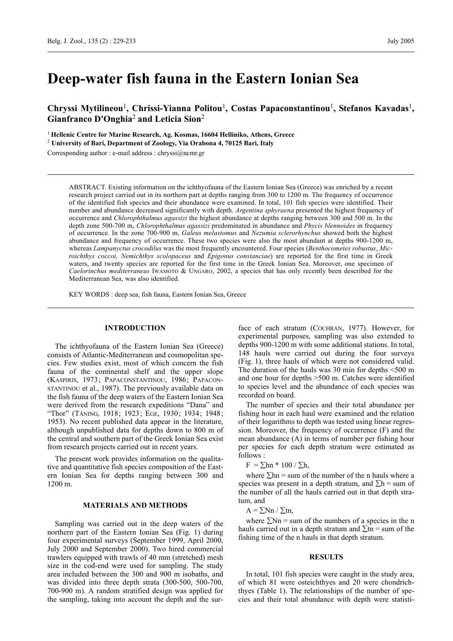# **Deep-water fish fauna in the Eastern Ionian Sea**

**Chryssi Mytilineou**1**, Chrissi-Yianna Politou**1**, Costas Papaconstantinou**1**, Stefanos Kavadas**1**, Gianfranco D'Onghia**2 **and Leticia Sion**<sup>2</sup>

<sup>1</sup>**Hellenic Centre for Marine Research, Ag. Kosmas, 16604 Helliniko, Athens, Greece**

<sup>2</sup> **University of Bari, Department of Zoology, Via Orabona 4, 70125 Bari, Italy**

Corresponding author : e-mail address : chryssi@ncmr.gr

ABSTRACT. Existing information on the ichthyofauna of the Eastern Ionian Sea (Greece) was enriched by a recent research project carried out in its northern part at depths ranging from 300 to 1200 m. The frequency of occurrence of the identified fish species and their abundance were examined. In total, 101 fish species were identified. Their number and abundance decreased significantly with depth. *Argentina sphyraena* presented the highest frequency of occurrence and *Chlorophthalmus agassizi* the highest abundance at depths ranging between 300 and 500 m. In the depth zone 500-700 m, *Chlorophthalmus agassizi* predominated in abundance and *Phycis blennoides* in frequency of occurrence. In the zone 700-900 m, *Galeus melastomus* and *Nezumia sclerorhynchus* showed both the highest abundance and frequency of occurrence. These two species were also the most abundant at depths 900-1200 m, whereas *Lampanyctus crocodilus* was the most frequently encountered. Four species (*Benthocometes robustus*, *Microichthys coccoi, Nemichthys scolopaceus* and *Epigonus constanciae*) are reported for the first time in Greek waters, and twenty species are reported for the first time in the Greek Ionian Sea. Moreover, one specimen of *Caelorinchus mediterraneus* IWAMOTO & UNGARO, 2002, a species that has only recently been described for the Mediterranean Sea, was also identified*.*

KEY WORDS : deep sea, fish fauna, Eastern Ionian Sea, Greece

# **INTRODUCTION**

The ichthyofauna of the Eastern Ionian Sea (Greece) consists of Atlantic-Mediterranean and cosmopolitan species. Few studies exist, most of which concern the fish fauna of the continental shelf and the upper slope (KASPIRIS, 1973; PAPACONSTANTINOU, 1986; PAPACON-STANTINOU et al., 1987). The previously available data on the fish fauna of the deep waters of the Eastern Ionian Sea were derived from the research expeditions "Dana" and "Thor" (TÅNING, 1918; 1923; EGE, 1930; 1934; 1948; 1953). No recent published data appear in the literature, although unpublished data for depths down to 800 m of the central and southern part of the Greek Ionian Sea exist from research projects carried out in recent years.

The present work provides information on the qualitative and quantitative fish species composition of the Eastern Ionian Sea for depths ranging between 300 and 1200 m.

# **MATERIALS AND METHODS**

Sampling was carried out in the deep waters of the northern part of the Eastern Ionian Sea (Fig. 1) during four experimental surveys (September 1999, April 2000, July 2000 and September 2000). Two hired commercial trawlers equipped with trawls of 40 mm (stretched) mesh size in the cod-end were used for sampling. The study area included between the 300 and 900 m isobaths, and was divided into three depth strata (300-500, 500-700, 700-900 m). A random stratified design was applied for the sampling, taking into account the depth and the sur-

face of each stratum (COCHRAN, 1977). However, for experimental purposes, sampling was also extended to depths 900-1200 m with some additional stations. In total, 148 hauls were carried out during the four surveys (Fig. 1), three hauls of which were not considered valid. The duration of the hauls was 30 min for depths <500 m and one hour for depths >500 m. Catches were identified to species level and the abundance of each species was recorded on board.

The number of species and their total abundance per fishing hour in each haul were examined and the relation of their logarithms to depth was tested using linear regression. Moreover, the frequency of occurrence (F) and the mean abundance (A) in terms of number per fishing hour per species for each depth stratum were estimated as follows :

 $F = \sum h n * 100 / \sum h$ ,

where  $\Sigma$ hn = sum of the number of the n hauls where a species was present in a depth stratum, and  $\Sigma$ h = sum of the number of all the hauls carried out in that depth stratum, and

 $A = \sum_{n} Nn / \sum_{n} n$ 

where  $\Sigma$ Nn = sum of the numbers of a species in the n hauls carried out in a depth stratum and  $\Sigma$ tn = sum of the fishing time of the n hauls in that depth stratum.

#### **RESULTS**

In total, 101 fish species were caught in the study area, of which 81 were osteichthyes and 20 were chondrichthyes (Table 1). The relationships of the number of species and their total abundance with depth were statisti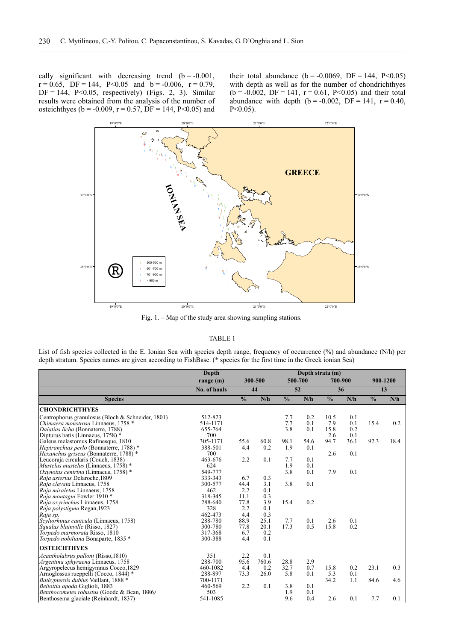cally significant with decreasing trend  $(b = -0.001,$  $r = 0.65$ , DF = 144, P<0.05 and b = -0.006, r = 0.79,  $DF = 144$ ,  $P < 0.05$ , respectively) (Figs. 2, 3). Similar results were obtained from the analysis of the number of osteichthyes (b = -0.009, r = 0.57, DF = 144, P<0.05) and

their total abundance ( $b = -0.0069$ , DF = 144, P<0.05) with depth as well as for the number of chondrichthyes  $(b = -0.002, DF = 141, r = 0.61, P < 0.05)$  and their total abundance with depth  $(b = -0.002, DF = 141, r = 0.40,$  $P < 0.05$ ).



Fig. 1. – Map of the study area showing sampling stations.

#### TABLE 1

List of fish species collected in the E. Ionian Sea with species depth range, frequency of occurrence (%) and abundance (N/h) per depth stratum. Species names are given according to FishBase. (\* species for the first time in the Greek ionian Sea)

|                                                                                                                                                    | Depth                                    |                            |                            | Depth strata (m)  |                   |                     |                   |                |      |
|----------------------------------------------------------------------------------------------------------------------------------------------------|------------------------------------------|----------------------------|----------------------------|-------------------|-------------------|---------------------|-------------------|----------------|------|
|                                                                                                                                                    | range (m)                                | 300-500<br>44              |                            | 500-700<br>52     |                   | 700-900<br>36       |                   | 900-1200<br>13 |      |
|                                                                                                                                                    | No. of hauls                             |                            |                            |                   |                   |                     |                   |                |      |
| <b>Species</b>                                                                                                                                     |                                          | $\frac{0}{0}$              | N/h                        | $\frac{0}{0}$     | N/h               | $\frac{0}{0}$       | N/h               | $\frac{0}{0}$  | N/h  |
| <b>CHONDRICHTHYES</b>                                                                                                                              |                                          |                            |                            |                   |                   |                     |                   |                |      |
| Centrophorus granulosus (Bloch & Schneider, 1801)<br>Chimaera monstrosa Linnaeus, 1758 *<br>Dalatias licha (Bonnaterre, 1788)                      | 512-823<br>514-1171<br>655-764           |                            |                            | 7.7<br>7.7<br>3.8 | 0.2<br>0.1<br>0.1 | 10.5<br>7.9<br>15.8 | 0.1<br>0.1<br>0.2 | 15.4           | 0.2  |
| Dipturus batis (Linnaeus, 1758) *<br>Galeus melastomus Rafinesque, 1810<br>Heptranchias perlo (Bonnaterre, 1788)*                                  | 700<br>305-1171<br>388-501               | 55.6<br>4.4                | 60.8<br>0.2                | 98.1<br>1.9       | 54.6<br>0.1       | 2.6<br>94.7         | 0.1<br>36.1       | 92.3           | 18.4 |
| <i>Hexanchus griseus</i> (Bonnaterre, 1788) *<br>Leucoraja circularis (Couch, 1838)<br><i>Mustelus mustelus</i> (Linnaeus, 1758) *                 | 700<br>463-676<br>624                    | 2.2                        | 0.1                        | 7.7<br>1.9        | 0.1<br>0.1        | 2.6                 | 0.1               |                |      |
| Oxynotus centrina (Linnaeus, 1758) *<br>Raja asterias Delaroche, 1809<br>Raja clavata Linnaeus, 1758                                               | 549-777<br>333-343<br>300-577            | 6.7<br>44.4                | 0.3<br>3.1                 | 3.8<br>3.8        | 0.1<br>0.1        | 7.9                 | 0.1               |                |      |
| Raja miraletus Linnaeus, 1758<br>Raja montagui Fowler 1910 *<br>Raja oxyrinchus Linnaeus, 1758                                                     | 462<br>318-345<br>288-640                | 2.2<br>11.1<br>77.8        | 0.1<br>0.3<br>3.9          | 15.4              | 0.2               |                     |                   |                |      |
| Raja polystigma Regan, 1923<br>Raja sp.                                                                                                            | 328<br>462-473                           | 2.2<br>4.4                 | 0.1<br>0.3                 |                   |                   |                     |                   |                |      |
| Scyliorhinus canicula (Linnaeus, 1758)<br>Squalus blainville (Risso, 1827)<br>Torpedo marmorata Risso, 1810<br>Torpedo nobiliana Bonaparte, 1835 * | 288-780<br>300-780<br>317-368<br>300-388 | 88.9<br>77.8<br>6.7<br>4.4 | 25.1<br>20.1<br>0.2<br>0.1 | 7.7<br>17.3       | 0.1<br>0.5        | 2.6<br>15.8         | 0.1<br>0.2        |                |      |
| <b>OSTEICHTHYES</b>                                                                                                                                |                                          |                            |                            |                   |                   |                     |                   |                |      |
| Acantholabrus palloni (Risso, 1810)<br>Argentina sphyraena Linnaeus, 1758<br>Argyropelecus hemigymnus Cocco, 1829                                  | 351<br>288-700<br>460-1082               | 2.2<br>95.6<br>4.4         | 0.1<br>760.6<br>0.2        | 28.8<br>32.7      | 2.9<br>0.7        | 15.8                | 0.2               | 23.1           | 0.3  |
| Arnoglossus rueppelli (Cocco, 1844) *<br>Bathypterois dubius Vaillant, 1888 *<br>Bellottia apoda Giglioli, 1883                                    | 288-897<br>700-1171<br>460-569           | 73.3<br>2.2                | 26.0<br>0.1                | 5.8<br>3.8        | 0.1<br>0.1        | 5.3<br>34.2         | 0.1<br>1.1        | 84.6           | 4.6  |
| Benthocometes robustus (Goode & Bean, 1886)<br>Benthosema glaciale (Reinhardt, 1837)                                                               | 503<br>541-1085                          |                            |                            | 1.9<br>9.6        | 0.1<br>0.4        | 2.6                 | 0.1               | 7.7            | 0.1  |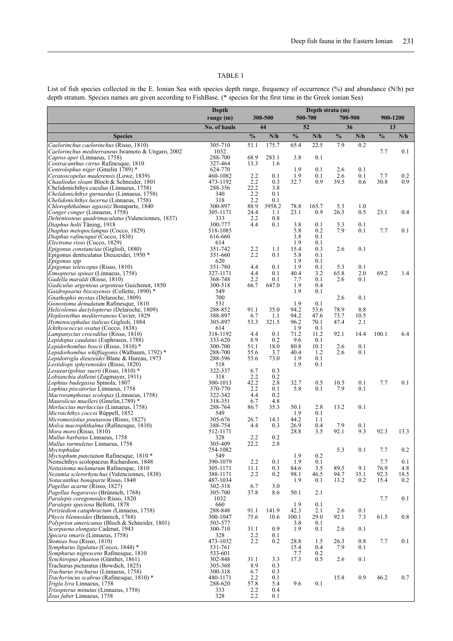# TABLE 1

List of fish species collected in the E. Ionian Sea with species depth range, frequency of occurrence (%) and abundance (N/h) per depth stratum. Species names are given according to FishBase. (\* species for the first time in the Greek ionian Sea)

|                                                                                             | Depth               |               |               | Depth strata (m) |             |               |            | 900-1200<br>13 |      |
|---------------------------------------------------------------------------------------------|---------------------|---------------|---------------|------------------|-------------|---------------|------------|----------------|------|
|                                                                                             | range (m)           | 300-500<br>44 |               | 500-700<br>52    |             | 700-900<br>36 |            |                |      |
|                                                                                             | No. of hauls        | $\frac{0}{0}$ | N/h           | $\frac{0}{0}$    | N/h         | $\frac{0}{0}$ | N/h        | $\frac{0}{0}$  | N/h  |
| <b>Species</b><br>Caelorinchus caelorinchus (Risso, 1810)                                   | 305-710             | 51.1          | 175.7         | 65.4             | 22.5        | 7.9           | 0.2        |                |      |
| Caelorinchus mediterraneus Iwamoto & Ungaro, 2002                                           | 1032                |               |               |                  |             |               |            | 7.7            | 0.1  |
| Capros aper (Linnaeus, 1758)                                                                | 288-700             | 68.9          | 283.1         | 3.8              | 0.1         |               |            |                |      |
| Centracanthus cirrus Rafinesque, 1810                                                       | 327-464             | 13.3          | 1.6           |                  |             |               |            |                |      |
| Centrolophus niger (Gmelin 1789)*<br>Ceratoscopelus maderensis (Lowe, 1839)                 | 624-770<br>460-1082 | 2.2           | 0.1           | 1.9<br>1.9       | 0.1<br>0.1  | 2.6<br>2.6    | 0.1<br>0.1 | 7.7            | 0.2  |
| Chauliodus sloani Bloch & Schneider, 1801                                                   | 473-1192            | 2.2           | 0.3           | 32.7             | 0.9         | 39.5          | 0.6        | 30.8           | 0.9  |
| Chelidonichthys cuculus (Linnaeus, 1758)                                                    | 288-356             | 22.2          | 3.8           |                  |             |               |            |                |      |
| Chelidonichthys gurnardus (Linnaeus, 1758)                                                  | 340                 | 2.2           | 0.1           |                  |             |               |            |                |      |
| <i>Chelidonichthys lucerna</i> (Linnaeus, 1758)<br>Chlorophthalmus agassizi Bonaparte, 1840 | 318<br>300-897      | 2.2<br>88.9   | 0.1<br>3958.2 | 78.8             | 165.7       | 5.3           | 1.0        |                |      |
| Conger conger (Linnaeus, 1758)                                                              | 305-1171            | 24.4          | 1.1           | 23.1             | 0.9         | 26.3          | 0.5        | 23.1           | 0.4  |
| Deltentosteus quadrimaculatus (Valenciennes, 1837)                                          | 333                 | 2.2           | 0.8           |                  |             |               |            |                |      |
| Diaphus holti Tåning, 1918                                                                  | 300-777             | 4.4           | 0.1           | 3.8              | 0.1         | 5.3           | 0.1        |                |      |
| Diaphus metopoclampus (Cocco, 1829)<br>Diaphus rafinesquii (Cocco, 1838)                    | 518-1085<br>616-660 |               |               | 5.8<br>3.8       | 0.2<br>0.1  | 7.9           | 0.1        | 7.7            | 0.1  |
| Electrona risso (Cocco, 1829)                                                               | 614                 |               |               | 1.9              | 0.1         |               |            |                |      |
| Epigonus constanciae (Giglioli, 1880)                                                       | 351-742             | 2.2           | 1.1           | 15.4             | 0.3         | 2.6           | 0.1        |                |      |
| Epigonus denticulatus Dieuzeidei, 1950 *                                                    | 351-660             | 2.2           | 0.1           | 5.8              | 0.1         |               |            |                |      |
| Epigonus spp<br>Epigonus telescopus (Risso, 1810)                                           | 620<br>351-780      | 4.4           | 0.1           | 1.9<br>1.9       | 0.1<br>0.1  | 5.3           | 0.1        |                |      |
| <i>Etmopterus spinax</i> (Linnaeus, 1758)                                                   | 327-1171            | 4.4           | 0.1           | 40.4             | 3.2         | 65.8          | 2.0        | 69.2           | 1.4  |
| Gadella maraldi (Risso, 1810)                                                               | 368-748             | 2.2           | 0.1           | 7.7              | 0.1         | 2.6           | 0.1        |                |      |
| Gadiculus argenteus argenteus Guichenot, 1850                                               | 300-518             | 66.7          | 647.0         | 1.9              | 0.4         |               |            |                |      |
| Gaidropsarus biscayensis (Collette, 1890) *                                                 | 549                 |               |               | 1.9              | 0.1         |               |            |                |      |
| Gnathophis mystax (Delaroche, 1809)<br>Gonostoma denudatum Rafinesque, 1810                 | 700<br>531          |               |               | 1.9              | 0.1         | 2.6           | 0.1        |                |      |
| Helicolenus dactylopterus (Delaroche, 1809)                                                 | 288-852             | 91.1          | 35.0          | 94.2             | 53.6        | 78.9          | 8.8        |                |      |
| Hoplostethus mediterraneus Cuvier, 1829                                                     | 388-897             | 6.7           | 1.1           | 94.2             | 47.6        | 73.7          | 10.5       |                |      |
| Hymenocephalus italicus Giglioli, 1884                                                      | 305-897             | 53.3          | 321.5         | 96.2             | 70.1        | 47.4          | 2.1        |                |      |
| <i>Ichthyococcus ovatus</i> (Cocco, 1838)<br>Lampanyctus crocodilus (Risso, 1810)           | 614<br>318-1192     | 4.4           | 0.1           | 1.9<br>71.2      | 0.1<br>11.2 | 92.1          | 14.4       | 100.1          | 6.4  |
| Lepidopus caudatus (Euphrasen, 1788)                                                        | 333-620             | 8.9           | 0.2           | 9.6              | 0.1         |               |            |                |      |
| Lepidorhombus boscii (Risso, 1810)*                                                         | 300-700             | 51.1          | 18.0          | 80.8             | 10.1        | 2.6           | 0.1        |                |      |
| Lepidorhombus whiffiagonis (Walbaum, 1792) *                                                | 288-700             | 55.6          | 3.7           | 40.4             | 1.2         | 2.6           | 0.1        |                |      |
| Lepidotrigla dieuzeidei Blanc & Hureau, 1973                                                | 288-596<br>518      | 55.6          | 73.0          | 1.9<br>1.9       | 0.1<br>0.1  |               |            |                |      |
| Lestidiops sphyrenoides (Risso, 1820)<br>Lesueurigobius suerii (Risso, 1810) *              | 322-337             | 6.7           | 0.3           |                  |             |               |            |                |      |
| Lobianchia dofleini (Zugmayer, 1911)                                                        | 318                 | 2.2           | 0.2           |                  |             |               |            |                |      |
| Lophius budegassa Spinola, 1807                                                             | 300-1013            | 42.2          | 2.8           | 32.7             | 0.5         | 10.5          | 0.1        | 7.7            | 0.1  |
| Lophius piscatorius Linnaeus, 1758<br>Macroramphosus scolopax (Linnaeus, 1758)              | 370-770<br>322-342  | 2.2<br>4.4    | 0.1<br>0.2    | 5.8              | 0.1         | 7.9           | 0.1        |                |      |
| Maurolicus muelleri (Gmelin, 1789) *                                                        | 318-351             | 6.7           | 4.8           |                  |             |               |            |                |      |
| Merluccius merluccius (Linnaeus, 1758)                                                      | 288-764             | 86.7          | 35.3          | 50.1             | 2.8         | 13.2          | 0.1        |                |      |
| <i>Microichthys coccoi</i> Rüppell, 1852                                                    | 549                 |               |               | 1.9              | 0.1         |               |            |                |      |
| Micromesistius poutassou (Risso, 1827)                                                      | 305-676             | 26.7          | 14.1          | 44.2             | 1.1         |               |            |                |      |
| Molva macrophthalma (Rafinesque, 1810)<br><i>Mora moro</i> (Risso, 1810)                    | 388-754<br>512-1171 | 4.4           | 0.3           | 26.9<br>28.8     | 0.4<br>3.5  | 7.9<br>92.1   | 0.1<br>9.3 | 92.3           | 13.3 |
| Mullus barbatus Linnaeus, 1758                                                              | 328                 | 2.2           | 0.2           |                  |             |               |            |                |      |
| <i>Mullus surmuletus</i> Linnaeus, 1758                                                     | 305-409             | 22.2          | 2.8           |                  |             |               |            |                |      |
| Myctophidae                                                                                 | 754-1082            |               |               |                  |             | 5.3           | 0.1        | 7.7            | 0.2  |
| Myctophum punctatum Rafinesque, 1810 *<br>Nemichthys scolopaceus Richardson, 1848           | 549<br>390-1079     | 2.2           | 0.1           | 1.9<br>1.9       | 0.2<br>0.1  |               |            | 7.7            | 0.1  |
| <i>Nettastoma melanurum</i> Rafinesque, 1810                                                | 305-1171            | 11.1          | 0.3           | 84.6             | 3.5         | 89.5          | 9.1        | 76.9           | 4.8  |
| Nezumia sclerorhynchus (Valenciennes, 1838)                                                 | 388-1171            | 2.2           | 0.2           | 98.1             | 46.5        | 94.7          | 35.1       | 92.3           | 18.5 |
| Notacanthus bonaparte Risso, 1840                                                           | 487-1034            |               |               | 1.9              | 0.1         | 13.2          | 0.2        | 15.4           | 0.2  |
| <i>Pagellus acarne</i> (Risso, 1827)<br>Pagellus bogaraveo (Brünnich, 1768)                 | 302-318<br>305-700  | 6.7<br>37.8   | 3.0<br>8.6    | 50.1             | 2.1         |               |            |                |      |
| Paralepis coregonoides Risso, 1820                                                          | 1032                |               |               |                  |             |               |            | 7.7            | 0.1  |
| Paralepis speciosa Bellotti, 1878                                                           | 660                 |               |               | 1.9              | 0.1         |               |            |                |      |
| Peristedion cataphractum (Linnaeus, 1758)                                                   | 288-848             | 91.1          | 141.9         | 42.3             | 2.1         | 2.6           | 0.1        |                |      |
| Phycis blennoides (Brünnich, 1768)<br>Polyprion americanus (Bloch & Schneider, 1801)        | 300-1047<br>503-577 | 75.6          | 10.6          | 100.1<br>3.8     | 29.0<br>0.1 | 92.1          | 7.3        | 61.5           | 0.8  |
| Scorpaena elongata Cadenat, 1943                                                            | 300-710             | 31.1          | 0.9           | 1.9              | 0.1         | 2.6           | 0.1        |                |      |
| Spicara smaris (Linnaeus, 1758)                                                             | 328                 | 2.2           | 0.1           |                  |             |               |            |                |      |
| <i>Stomias boa</i> (Risso, 1810)                                                            | 473-1032            | 2.2           | 0.2           | 28.8             | 1.5         | 26.3          | 0.8        | 7.7            | 0.1  |
| Symphurus ligulatus (Cocco, 1844) *<br>Symphurus nigrescens Rafinesque, 1810                | 531-761<br>533-601  |               |               | 15.4<br>7.7      | 0.4<br>0.2  | 7.9           | 0.1        |                |      |
| <i>Synchiropus phaeton</i> (Günther, 1861)                                                  | 302-848             | 31.1          | 3.3           | 17.3             | 0.5         | 2.6           | 0.1        |                |      |
| Trachurus picturatus (Bowdich, 1825)                                                        | 305-368             | 8.9           | 0.3           |                  |             |               |            |                |      |
| Trachurus trachurus (Linnaeus, 1758)                                                        | 300-318             | 6.7           | 0.3           |                  |             |               |            |                |      |
| Trachyrincus scabrus (Rafinesque, 1810) *<br>Trigla lyra Linnaeus, 1758                     | 480-1171<br>288-620 | 2.2<br>57.8   | 0.1<br>5.4    | 9.6              | 0.1         | 15.8          | 0.9        | 46.2           | 0.7  |
| Trisopterus minutus (Linnaeus, 1758)                                                        | 333                 | 2.2           | 0.4           |                  |             |               |            |                |      |
| Zeus faber Linnaeus, 1758                                                                   | 328                 | 2.2           | 0.1           |                  |             |               |            |                |      |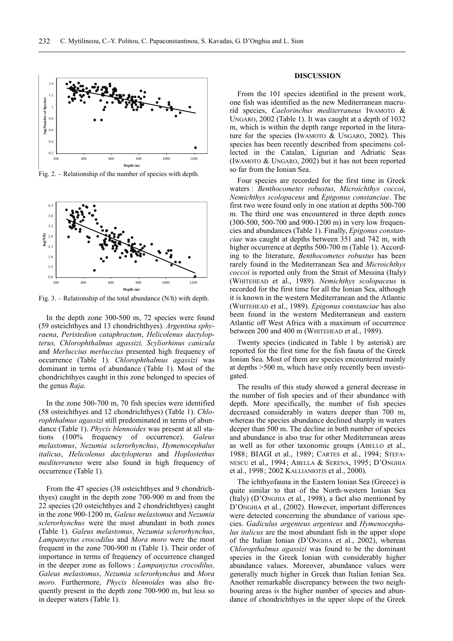

Fig. 2. – Relationship of the number of species with depth.



Fig. 3. – Relationship of the total abundance (N/h) with depth.

In the depth zone 300-500 m, 72 species were found (59 osteichthyes and 13 chondrichthyes). *Argentina sphyraena*, *Peristedion cataphractum*, *Helicolenus dactylopterus, Chlorophthalmus agassizi, Scyliorhinus canicula* and *Merluccius merluccius* presented high frequency of occurrence (Table 1). *Chlorophthalmus agassizi* was dominant in terms of abundance (Table 1). Most of the chondrichthyes caught in this zone belonged to species of the genus *Raja*.

In the zone 500-700 m, 70 fish species were identified (58 osteichthyes and 12 chondrichthyes) (Table 1). *Chlorophthalmus agassizi* still predominated in terms of abundance (Table 1). *Phycis blennoides* was present at all stations (100% frequency of occurrence). *Galeus melastomus*, *Nezumia sclerorhynchus*, *Hymenocephalus italicus*, *Helicolenus dactylopterus* and *Hoplostethus mediterraneus* were also found in high frequency of occurrence (Table 1).

From the 47 species (38 osteichthyes and 9 chondrichthyes) caught in the depth zone 700-900 m and from the 22 species (20 osteichthyes and 2 chondrichthyes) caught in the zone 900-1200 m, *Galeus melastomus* and *Nezumia sclerorhynchus* were the most abundant in both zones (Table 1). *Galeus melastomus*, *Nezumia sclerorhynchus*, *Lampanyctus crocodilus* and *Mora moro* were the most frequent in the zone 700-900 m (Table 1). Their order of importance in terms of frequency of occurrence changed in the deeper zone as follows : *Lampanyctus crocodilus, Galeus melastomus*, *Nezumia sclerorhynchus* and *Mora moro.* Furthermore, *Phycis blennoides* was also frequently present in the depth zone 700-900 m, but less so in deeper waters (Table 1).

# **DISCUSSION**

From the 101 species identified in the present work, one fish was identified as the new Mediterranean macrurid species, *Caelorinchus mediterraneus* IWAMOTO & UNGARO, 2002 (Table 1). It was caught at a depth of 1032 m, which is within the depth range reported in the literature for the species (IWAMOTO & UNGARO, 2002). This species has been recently described from specimens collected in the Catalan, Ligurian and Adriatic Seas (IWAMOTO & UNGARO, 2002) but it has not been reported so far from the Ionian Sea.

Four species are recorded for the first time in Greek waters : *Benthocometes robustus, Microichthys coccoi*, *Nemichthys scolopaceus* and *Epigonus constanciae*. The first two were found only in one station at depths 500-700 m. The third one was encountered in three depth zones (300-500, 500-700 and 900-1200 m) in very low frequencies and abundances (Table 1). Finally, *Epigonus constanciae* was caught at depths between 351 and 742 m, with higher occurrence at depths 500-700 m (Table 1). According to the literature, *Benthocometes robustus* has been rarely found in the Mediterranean Sea and *Microichthys coccoi* is reported only from the Strait of Messina (Italy) (WHITEHEAD et al., 1989). *Nemichthys scolopaceus* is recorded for the first time for all the Ionian Sea, although it is known in the western Mediterranean and the Atlantic (WHITEHEAD et al., 1989). *Epigonus constanciae* has also been found in the western Mediterranean and eastern Atlantic off West Africa with a maximum of occurrence between 200 and 400 m (WHITEHEAD et al., 1989).

Twenty species (indicated in Table 1 by asterisk) are reported for the first time for the fish fauna of the Greek Ionian Sea. Most of them are species encountered mainly at depths >500 m, which have only recently been investigated.

The results of this study showed a general decrease in the number of fish species and of their abundance with depth. More specifically, the number of fish species decreased considerably in waters deeper than 700 m, whereas the species abundance declined sharply in waters deeper than 500 m. The decline in both number of species and abundance is also true for other Mediterranean areas as well as for other taxonomic groups (ABELLO et al., 1988; BIAGI et al., 1989; CARTES et al., 1994; STEFA-NESCU et al., 1994; ABELLA & SERENA, 1995; D'ONGHIA et al*.*, 1998; 2002 KALLIANIOTIS et al., 2000).

The ichthyofauna in the Eastern Ionian Sea (Greece) is quite similar to that of the North-western Ionian Sea (Italy) (D'ONGHIA et al*.*, 1998), a fact also mentioned by D'ONGHIA et al*.*, (2002). However, important differences were detected concerning the abundance of various species. *Gadiculus argenteus argenteus* and *Hymenocephalus italicus* are the most abundant fish in the upper slope of the Italian Ionian (D'ONGHIA et al*.*, 2002), whereas *Chloropthalmus agassizi* was found to be the dominant species in the Greek Ionian with considerably higher abundance values. Moreover, abundance values were generally much higher in Greek than Italian Ionian Sea. Another remarkable discrepancy between the two neighbouring areas is the higher number of species and abundance of chondrichthyes in the upper slope of the Greek